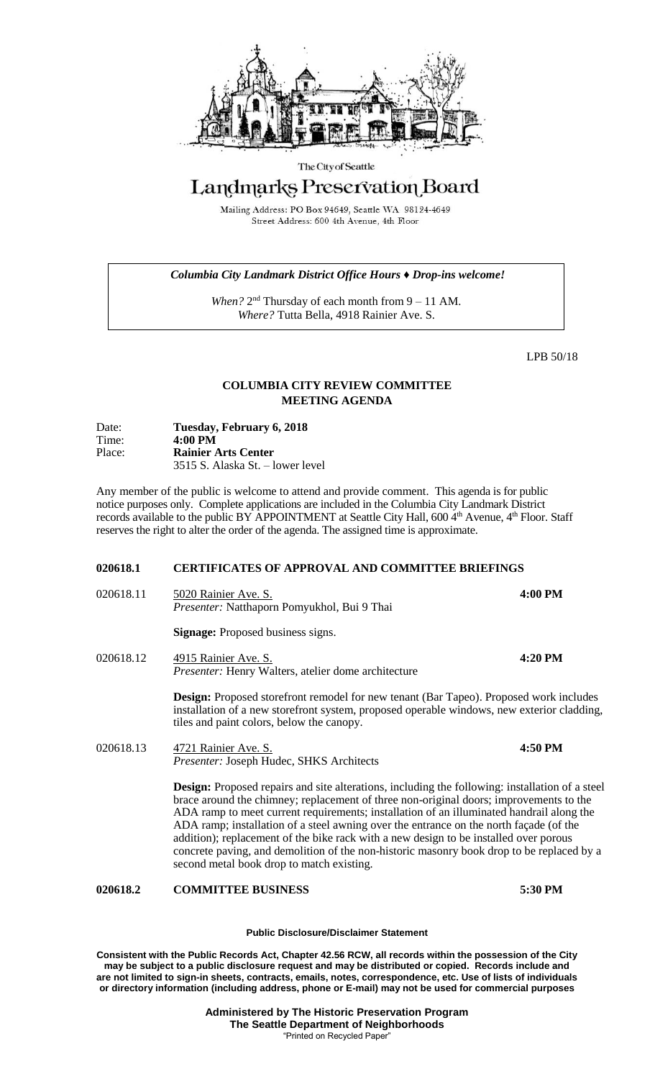

### The City of Seattle

# Landmarks Preservation Board

Mailing Address: PO Box 94649, Seattle WA 98124-4649 Street Address: 600 4th Avenue, 4th Floor

## *Columbia City Landmark District Office Hours ♦ Drop-ins welcome!*

When? 2<sup>nd</sup> Thursday of each month from 9 – 11 AM. *Where?* Tutta Bella, 4918 Rainier Ave. S.

LPB 50/18

# **COLUMBIA CITY REVIEW COMMITTEE MEETING AGENDA**

| Date:<br>Time: | Tuesday, February 6, 2018<br>$4:00 \text{ PM}$ |
|----------------|------------------------------------------------|
| Place:         | <b>Rainier Arts Center</b>                     |
|                | 3515 S. Alaska St. – lower level               |

Any member of the public is welcome to attend and provide comment. This agenda is for public notice purposes only. Complete applications are included in the Columbia City Landmark District records available to the public BY APPOINTMENT at Seattle City Hall, 600 4<sup>th</sup> Avenue, 4<sup>th</sup> Floor. Staff reserves the right to alter the order of the agenda. The assigned time is approximate.

## **020618.1 CERTIFICATES OF APPROVAL AND COMMITTEE BRIEFINGS**

020618.11 5020 Rainier Ave. S. **4:00 PM** *Presenter:* Natthaporn Pomyukhol, Bui 9 Thai **Signage:** Proposed business signs. 020618.12 4915 Rainier Ave. S. **4:20 PM** *Presenter:* Henry Walters, atelier dome architecture

> **Design:** Proposed storefront remodel for new tenant (Bar Tapeo). Proposed work includes installation of a new storefront system, proposed operable windows, new exterior cladding, tiles and paint colors, below the canopy.

020618.13 4721 Rainier Ave. S. **4:50 PM** *Presenter:* Joseph Hudec, SHKS Architects

> **Design:** Proposed repairs and site alterations, including the following: installation of a steel brace around the chimney; replacement of three non-original doors; improvements to the ADA ramp to meet current requirements; installation of an illuminated handrail along the ADA ramp; installation of a steel awning over the entrance on the north façade (of the addition); replacement of the bike rack with a new design to be installed over porous concrete paving, and demolition of the non-historic masonry book drop to be replaced by a second metal book drop to match existing.

# **020618.2 COMMITTEE BUSINESS 5:30 PM**

#### **Public Disclosure/Disclaimer Statement**

**Consistent with the Public Records Act, Chapter 42.56 RCW, all records within the possession of the City may be subject to a public disclosure request and may be distributed or copied. Records include and are not limited to sign-in sheets, contracts, emails, notes, correspondence, etc. Use of lists of individuals or directory information (including address, phone or E-mail) may not be used for commercial purposes**

> **Administered by The Historic Preservation Program The Seattle Department of Neighborhoods** "Printed on Recycled Paper"